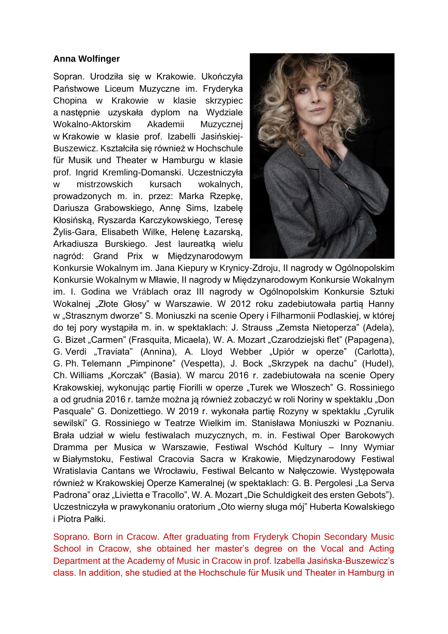## **Anna Wolfinger**

Sopran. Urodziła się w Krakowie. Ukończyła Państwowe Liceum Muzyczne im. Fryderyka Chopina w Krakowie w klasie skrzypiec a następnie uzyskała dyplom na Wydziale Wokalno-Aktorskim Akademii Muzycznej w Krakowie w klasie prof. Izabelli Jasińskiej-Buszewicz. Kształciła się również w Hochschule für Musik und Theater w Hamburgu w klasie prof. Ingrid Kremling-Domanski. Uczestniczyła w mistrzowskich kursach wokalnych, prowadzonych m. in. przez: Marka Rzepkę, Dariusza Grabowskiego, Annę Sims, Izabelę Kłosińską, Ryszarda Karczykowskiego, Teresę Żylis-Gara, Elisabeth Wilke, Helenę Łazarską, Arkadiusza Burskiego. Jest laureatką wielu nagród: Grand Prix w Międzynarodowym



Konkursie Wokalnym im. Jana Kiepury w Krynicy-Zdroju, II nagrody w Ogólnopolskim Konkursie Wokalnym w Mławie, II nagrody w Międzynarodowym Konkursie Wokalnym im. I. Godina we Vr**á**blach oraz III nagrody w Ogólnopolskim Konkursie Sztuki Wokalnej "Złote Głosy" w Warszawie. W 2012 roku zadebiutowała partią Hanny w "Strasznym dworze" S. Moniuszki na scenie Opery i Filharmonii Podlaskiej, w której do tej pory wystąpiła m. in. w spektaklach: J. Strauss "Zemsta Nietoperza" (Adela), G. Bizet "Carmen" (Frasquita, Micaela), W. A. Mozart "Czarodziejski flet" (Papagena), G. Verdi "Traviata" (Annina), A. Lloyd Webber "Upiór w operze" (Carlotta), G. Ph. Telemann "Pimpinone" (Vespetta), J. Bock "Skrzypek na dachu" (Hudel), Ch. Williams "Korczak" (Basia). W marcu 2016 r. zadebiutowała na scenie Opery Krakowskiej, wykonując partię Fiorilli w operze "Turek we Włoszech" G. Rossiniego a od grudnia 2016 r. tamże można ją również zobaczyć w roli Noriny w spektaklu "Don Pasquale" G. Donizettiego. W 2019 r. wykonała partię Rozyny w spektaklu "Cyrulik sewilski" G. Rossiniego w Teatrze Wielkim im. Stanisława Moniuszki w Poznaniu. Brała udział w wielu festiwalach muzycznych, m. in. Festiwal Oper Barokowych Dramma per Musica w Warszawie, Festiwal Wschód Kultury – Inny Wymiar w Białymstoku, Festiwal Cracovia Sacra w Krakowie, Międzynarodowy Festiwal Wratislavia Cantans we Wrocławiu, Festiwal Belcanto w Nałęczowie. Występowała również w Krakowskiej Operze Kameralnej (w spektaklach: G. B. Pergolesi "La Serva Padrona" oraz "Livietta e Tracollo", W. A. Mozart "Die Schuldigkeit des ersten Gebots"). Uczestniczyła w prawykonaniu oratorium "Oto wierny sługa mój" Huberta Kowalskiego i Piotra Pałki.

Soprano. Born in Cracow. After graduating from Fryderyk Chopin Secondary Music School in Cracow, she obtained her master's degree on the Vocal and Acting Department at the Academy of Music in Cracow in prof. Izabella Jasińska-Buszewicz's class. In addition, she studied at the Hochschule für Musik und Theater in Hamburg in